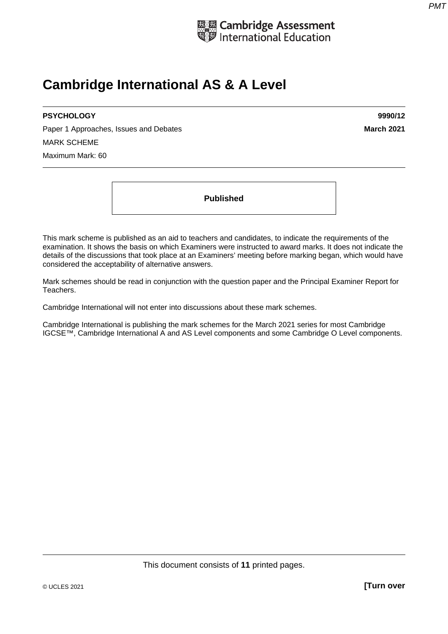

# **Cambridge International AS & A Level**

# **PSYCHOLOGY 9990/12**

Paper 1 Approaches, Issues and Debates **March 2021 March 2021** MARK SCHEME Maximum Mark: 60

**Published** 

This mark scheme is published as an aid to teachers and candidates, to indicate the requirements of the examination. It shows the basis on which Examiners were instructed to award marks. It does not indicate the details of the discussions that took place at an Examiners' meeting before marking began, which would have considered the acceptability of alternative answers.

Mark schemes should be read in conjunction with the question paper and the Principal Examiner Report for Teachers.

Cambridge International will not enter into discussions about these mark schemes.

Cambridge International is publishing the mark schemes for the March 2021 series for most Cambridge IGCSE™, Cambridge International A and AS Level components and some Cambridge O Level components.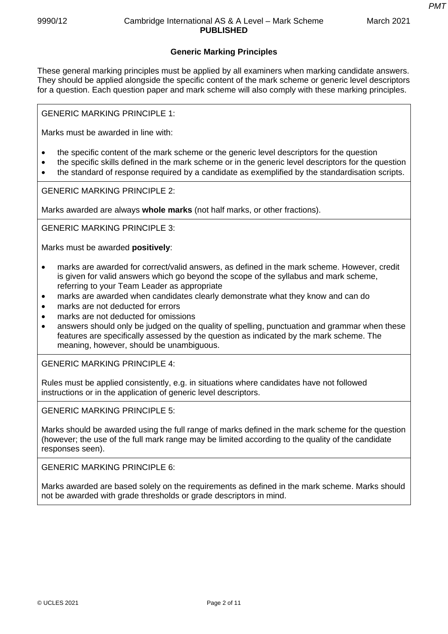*PMT*

### **Generic Marking Principles**

These general marking principles must be applied by all examiners when marking candidate answers. They should be applied alongside the specific content of the mark scheme or generic level descriptors for a question. Each question paper and mark scheme will also comply with these marking principles.

GENERIC MARKING PRINCIPLE 1:

Marks must be awarded in line with:

- the specific content of the mark scheme or the generic level descriptors for the question
- the specific skills defined in the mark scheme or in the generic level descriptors for the question
- the standard of response required by a candidate as exemplified by the standardisation scripts.

GENERIC MARKING PRINCIPLE 2:

Marks awarded are always **whole marks** (not half marks, or other fractions).

GENERIC MARKING PRINCIPLE 3:

Marks must be awarded **positively**:

- marks are awarded for correct/valid answers, as defined in the mark scheme. However, credit is given for valid answers which go beyond the scope of the syllabus and mark scheme, referring to your Team Leader as appropriate
- marks are awarded when candidates clearly demonstrate what they know and can do
- marks are not deducted for errors
- marks are not deducted for omissions
- answers should only be judged on the quality of spelling, punctuation and grammar when these features are specifically assessed by the question as indicated by the mark scheme. The meaning, however, should be unambiguous.

GENERIC MARKING PRINCIPLE 4:

Rules must be applied consistently, e.g. in situations where candidates have not followed instructions or in the application of generic level descriptors.

GENERIC MARKING PRINCIPLE 5:

Marks should be awarded using the full range of marks defined in the mark scheme for the question (however; the use of the full mark range may be limited according to the quality of the candidate responses seen).

GENERIC MARKING PRINCIPLE 6:

Marks awarded are based solely on the requirements as defined in the mark scheme. Marks should not be awarded with grade thresholds or grade descriptors in mind.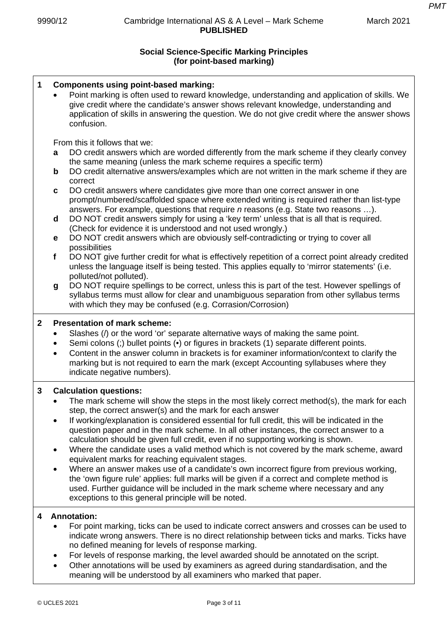*PMT*

## **Social Science-Specific Marking Principles (for point-based marking)**

| $\mathbf 1$  | <b>Components using point-based marking:</b><br>Point marking is often used to reward knowledge, understanding and application of skills. We<br>give credit where the candidate's answer shows relevant knowledge, understanding and<br>application of skills in answering the question. We do not give credit where the answer shows<br>confusion.                                                                                                                                                                                                                                                                                                                                                                                                                                                                                                                                                                                                                                                                                                                                                                                                                                                                                                                                                                                                                                             |
|--------------|-------------------------------------------------------------------------------------------------------------------------------------------------------------------------------------------------------------------------------------------------------------------------------------------------------------------------------------------------------------------------------------------------------------------------------------------------------------------------------------------------------------------------------------------------------------------------------------------------------------------------------------------------------------------------------------------------------------------------------------------------------------------------------------------------------------------------------------------------------------------------------------------------------------------------------------------------------------------------------------------------------------------------------------------------------------------------------------------------------------------------------------------------------------------------------------------------------------------------------------------------------------------------------------------------------------------------------------------------------------------------------------------------|
|              | From this it follows that we:<br>DO credit answers which are worded differently from the mark scheme if they clearly convey<br>a<br>the same meaning (unless the mark scheme requires a specific term)<br>DO credit alternative answers/examples which are not written in the mark scheme if they are<br>b<br>correct<br>DO credit answers where candidates give more than one correct answer in one<br>C<br>prompt/numbered/scaffolded space where extended writing is required rather than list-type<br>answers. For example, questions that require <i>n</i> reasons (e.g. State two reasons ).<br>DO NOT credit answers simply for using a 'key term' unless that is all that is required.<br>d<br>(Check for evidence it is understood and not used wrongly.)<br>DO NOT credit answers which are obviously self-contradicting or trying to cover all<br>е<br>possibilities<br>DO NOT give further credit for what is effectively repetition of a correct point already credited<br>$\mathbf f$<br>unless the language itself is being tested. This applies equally to 'mirror statements' (i.e.<br>polluted/not polluted).<br>DO NOT require spellings to be correct, unless this is part of the test. However spellings of<br>g<br>syllabus terms must allow for clear and unambiguous separation from other syllabus terms<br>with which they may be confused (e.g. Corrasion/Corrosion) |
| $\mathbf{2}$ | <b>Presentation of mark scheme:</b><br>Slashes (/) or the word 'or' separate alternative ways of making the same point.<br>٠<br>Semi colons (;) bullet points (•) or figures in brackets (1) separate different points.<br>$\bullet$<br>Content in the answer column in brackets is for examiner information/context to clarify the<br>$\bullet$<br>marking but is not required to earn the mark (except Accounting syllabuses where they<br>indicate negative numbers).                                                                                                                                                                                                                                                                                                                                                                                                                                                                                                                                                                                                                                                                                                                                                                                                                                                                                                                        |
| 3            | <b>Calculation questions:</b><br>The mark scheme will show the steps in the most likely correct method(s), the mark for each<br>step, the correct answer(s) and the mark for each answer<br>If working/explanation is considered essential for full credit, this will be indicated in the<br>question paper and in the mark scheme. In all other instances, the correct answer to a<br>calculation should be given full credit, even if no supporting working is shown.<br>Where the candidate uses a valid method which is not covered by the mark scheme, award<br>٠<br>equivalent marks for reaching equivalent stages.<br>Where an answer makes use of a candidate's own incorrect figure from previous working,<br>٠<br>the 'own figure rule' applies: full marks will be given if a correct and complete method is<br>used. Further guidance will be included in the mark scheme where necessary and any<br>exceptions to this general principle will be noted.                                                                                                                                                                                                                                                                                                                                                                                                                           |
| 4            | <b>Annotation:</b><br>For point marking, ticks can be used to indicate correct answers and crosses can be used to<br>indicate wrong answers. There is no direct relationship between ticks and marks. Ticks have<br>no defined meaning for levels of response marking.<br>For levels of response marking, the level awarded should be annotated on the script.<br>$\bullet$<br>Other annotations will be used by examiners as agreed during standardisation, and the<br>meaning will be understood by all examiners who marked that paper.                                                                                                                                                                                                                                                                                                                                                                                                                                                                                                                                                                                                                                                                                                                                                                                                                                                      |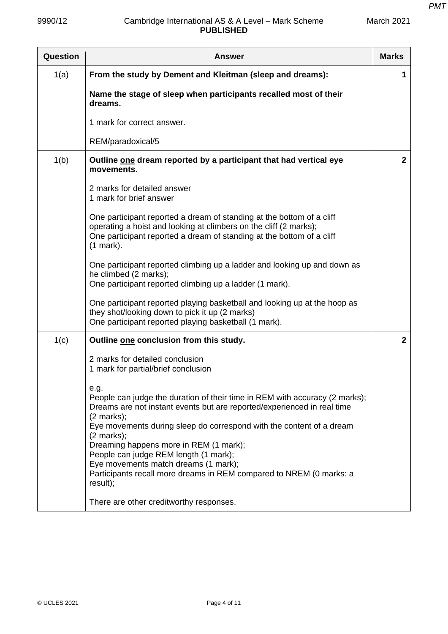| Question | <b>Answer</b>                                                                                                                                                                                                                                                                                                             | <b>Marks</b> |
|----------|---------------------------------------------------------------------------------------------------------------------------------------------------------------------------------------------------------------------------------------------------------------------------------------------------------------------------|--------------|
| 1(a)     | From the study by Dement and Kleitman (sleep and dreams):                                                                                                                                                                                                                                                                 | 1            |
|          | Name the stage of sleep when participants recalled most of their<br>dreams.                                                                                                                                                                                                                                               |              |
|          | 1 mark for correct answer.                                                                                                                                                                                                                                                                                                |              |
|          | REM/paradoxical/5                                                                                                                                                                                                                                                                                                         |              |
| 1(b)     | Outline one dream reported by a participant that had vertical eye<br>movements.                                                                                                                                                                                                                                           | $\mathbf{2}$ |
|          | 2 marks for detailed answer<br>1 mark for brief answer                                                                                                                                                                                                                                                                    |              |
|          | One participant reported a dream of standing at the bottom of a cliff<br>operating a hoist and looking at climbers on the cliff (2 marks);<br>One participant reported a dream of standing at the bottom of a cliff<br>(1 mark).                                                                                          |              |
|          | One participant reported climbing up a ladder and looking up and down as<br>he climbed (2 marks);<br>One participant reported climbing up a ladder (1 mark).                                                                                                                                                              |              |
|          | One participant reported playing basketball and looking up at the hoop as<br>they shot/looking down to pick it up (2 marks)<br>One participant reported playing basketball (1 mark).                                                                                                                                      |              |
| 1(c)     | Outline one conclusion from this study.                                                                                                                                                                                                                                                                                   | $\mathbf{2}$ |
|          | 2 marks for detailed conclusion<br>1 mark for partial/brief conclusion                                                                                                                                                                                                                                                    |              |
|          | e.g.<br>People can judge the duration of their time in REM with accuracy (2 marks);<br>Dreams are not instant events but are reported/experienced in real time<br>$(2$ marks);<br>Eye movements during sleep do correspond with the content of a dream<br>$(2 \text{ marks})$ ;<br>Dreaming happens more in REM (1 mark); |              |
|          | People can judge REM length (1 mark);<br>Eye movements match dreams (1 mark);<br>Participants recall more dreams in REM compared to NREM (0 marks: a<br>result);                                                                                                                                                          |              |
|          | There are other creditworthy responses.                                                                                                                                                                                                                                                                                   |              |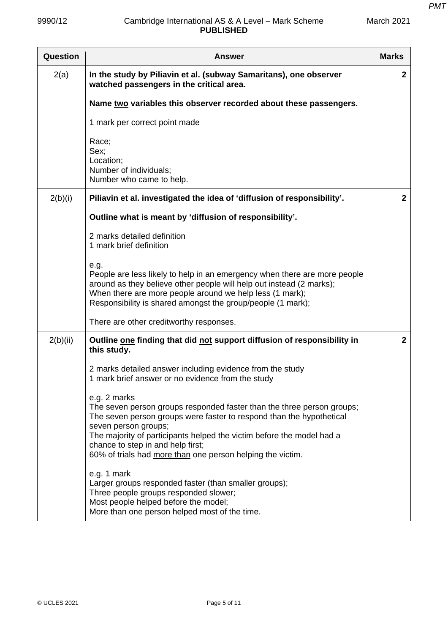| Question | Answer                                                                                                                                                                                                                                                                                                                                                             | <b>Marks</b> |
|----------|--------------------------------------------------------------------------------------------------------------------------------------------------------------------------------------------------------------------------------------------------------------------------------------------------------------------------------------------------------------------|--------------|
| 2(a)     | In the study by Piliavin et al. (subway Samaritans), one observer<br>watched passengers in the critical area.                                                                                                                                                                                                                                                      | $\mathbf{2}$ |
|          | Name two variables this observer recorded about these passengers.                                                                                                                                                                                                                                                                                                  |              |
|          | 1 mark per correct point made                                                                                                                                                                                                                                                                                                                                      |              |
|          | Race;<br>Sex:<br>Location;<br>Number of individuals;<br>Number who came to help.                                                                                                                                                                                                                                                                                   |              |
| 2(b)(i)  | Piliavin et al. investigated the idea of 'diffusion of responsibility'.                                                                                                                                                                                                                                                                                            | $\mathbf{2}$ |
|          | Outline what is meant by 'diffusion of responsibility'.                                                                                                                                                                                                                                                                                                            |              |
|          | 2 marks detailed definition<br>1 mark brief definition                                                                                                                                                                                                                                                                                                             |              |
|          | e.g.<br>People are less likely to help in an emergency when there are more people<br>around as they believe other people will help out instead (2 marks);<br>When there are more people around we help less (1 mark);<br>Responsibility is shared amongst the group/people (1 mark);                                                                               |              |
|          | There are other creditworthy responses.                                                                                                                                                                                                                                                                                                                            |              |
| 2(b)(ii) | Outline one finding that did not support diffusion of responsibility in<br>this study.                                                                                                                                                                                                                                                                             | $\mathbf{2}$ |
|          | 2 marks detailed answer including evidence from the study<br>1 mark brief answer or no evidence from the study                                                                                                                                                                                                                                                     |              |
|          | e.g. 2 marks<br>The seven person groups responded faster than the three person groups;<br>The seven person groups were faster to respond than the hypothetical<br>seven person groups;<br>The majority of participants helped the victim before the model had a<br>chance to step in and help first;<br>60% of trials had more than one person helping the victim. |              |
|          | e.g. 1 mark<br>Larger groups responded faster (than smaller groups);<br>Three people groups responded slower;<br>Most people helped before the model;<br>More than one person helped most of the time.                                                                                                                                                             |              |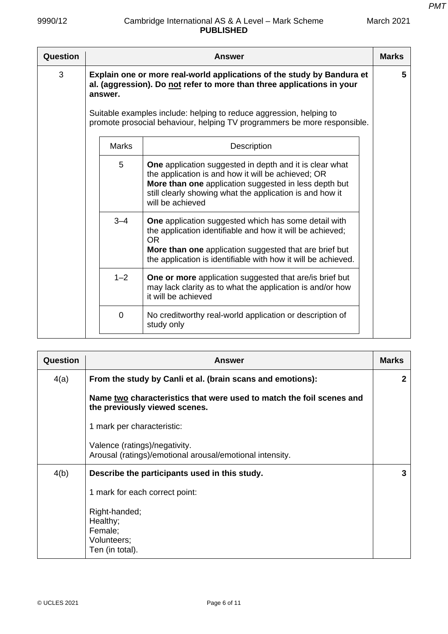| Question |              | Answer                                                                                                                                                                                                                                                                                              | <b>Marks</b> |
|----------|--------------|-----------------------------------------------------------------------------------------------------------------------------------------------------------------------------------------------------------------------------------------------------------------------------------------------------|--------------|
| 3        | answer.      | Explain one or more real-world applications of the study by Bandura et<br>al. (aggression). Do not refer to more than three applications in your<br>Suitable examples include: helping to reduce aggression, helping to<br>promote prosocial behaviour, helping TV programmers be more responsible. | 5            |
|          | <b>Marks</b> | Description                                                                                                                                                                                                                                                                                         |              |
|          | 5            | One application suggested in depth and it is clear what<br>the application is and how it will be achieved; OR<br>More than one application suggested in less depth but<br>still clearly showing what the application is and how it<br>will be achieved                                              |              |
|          | $3 - 4$      | <b>One</b> application suggested which has some detail with<br>the application identifiable and how it will be achieved;<br><b>OR</b><br>More than one application suggested that are brief but<br>the application is identifiable with how it will be achieved.                                    |              |
|          | $1 - 2$      | <b>One or more</b> application suggested that are/is brief but<br>may lack clarity as to what the application is and/or how<br>it will be achieved                                                                                                                                                  |              |
|          | $\Omega$     | No creditworthy real-world application or description of<br>study only                                                                                                                                                                                                                              |              |

| Question | <b>Answer</b>                                                                                         | <b>Marks</b> |
|----------|-------------------------------------------------------------------------------------------------------|--------------|
| 4(a)     | From the study by Canli et al. (brain scans and emotions):                                            | $\mathbf{2}$ |
|          | Name two characteristics that were used to match the foil scenes and<br>the previously viewed scenes. |              |
|          | 1 mark per characteristic:                                                                            |              |
|          | Valence (ratings)/negativity.<br>Arousal (ratings)/emotional arousal/emotional intensity.             |              |
| 4(b)     | Describe the participants used in this study.                                                         | 3            |
|          | 1 mark for each correct point:                                                                        |              |
|          | Right-handed;<br>Healthy;<br>Female;<br>Volunteers;<br>Ten (in total).                                |              |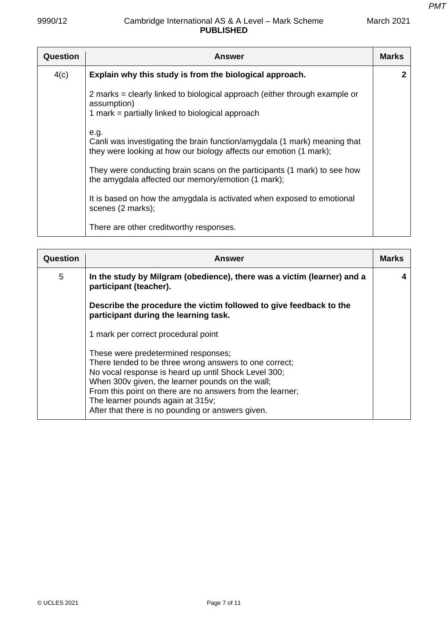| <b>Question</b> | <b>Answer</b>                                                                                                                                           | <b>Marks</b> |
|-----------------|---------------------------------------------------------------------------------------------------------------------------------------------------------|--------------|
| 4(c)            | Explain why this study is from the biological approach.                                                                                                 | $\mathbf 2$  |
|                 | 2 marks = clearly linked to biological approach (either through example or<br>assumption)<br>1 mark = partially linked to biological approach           |              |
|                 | e.g.<br>Canli was investigating the brain function/amygdala (1 mark) meaning that<br>they were looking at how our biology affects our emotion (1 mark); |              |
|                 | They were conducting brain scans on the participants (1 mark) to see how<br>the amygdala affected our memory/emotion (1 mark);                          |              |
|                 | It is based on how the amygdala is activated when exposed to emotional<br>scenes (2 marks);                                                             |              |
|                 | There are other creditworthy responses.                                                                                                                 |              |

| Question | <b>Answer</b>                                                                                                                                                                                                                                                                                                                                                    | Marks |
|----------|------------------------------------------------------------------------------------------------------------------------------------------------------------------------------------------------------------------------------------------------------------------------------------------------------------------------------------------------------------------|-------|
| 5        | In the study by Milgram (obedience), there was a victim (learner) and a<br>participant (teacher).                                                                                                                                                                                                                                                                |       |
|          | Describe the procedure the victim followed to give feedback to the<br>participant during the learning task.                                                                                                                                                                                                                                                      |       |
|          | 1 mark per correct procedural point                                                                                                                                                                                                                                                                                                                              |       |
|          | These were predetermined responses;<br>There tended to be three wrong answers to one correct;<br>No vocal response is heard up until Shock Level 300;<br>When 300v given, the learner pounds on the wall;<br>From this point on there are no answers from the learner;<br>The learner pounds again at 315v;<br>After that there is no pounding or answers given. |       |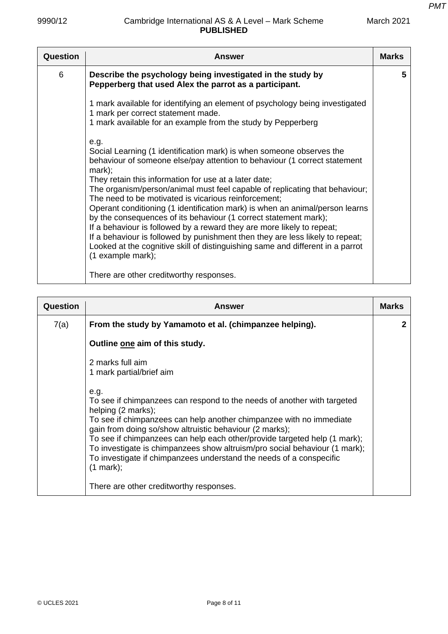| Question | Answer                                                                                                                                                                                                                                                                                                                                                                                                                                                                                                                                                                                                                                                                                                                                                                                    | <b>Marks</b> |
|----------|-------------------------------------------------------------------------------------------------------------------------------------------------------------------------------------------------------------------------------------------------------------------------------------------------------------------------------------------------------------------------------------------------------------------------------------------------------------------------------------------------------------------------------------------------------------------------------------------------------------------------------------------------------------------------------------------------------------------------------------------------------------------------------------------|--------------|
| 6        | Describe the psychology being investigated in the study by<br>Pepperberg that used Alex the parrot as a participant.                                                                                                                                                                                                                                                                                                                                                                                                                                                                                                                                                                                                                                                                      | 5            |
|          | 1 mark available for identifying an element of psychology being investigated<br>1 mark per correct statement made.<br>1 mark available for an example from the study by Pepperberg                                                                                                                                                                                                                                                                                                                                                                                                                                                                                                                                                                                                        |              |
|          | e.g.<br>Social Learning (1 identification mark) is when someone observes the<br>behaviour of someone else/pay attention to behaviour (1 correct statement<br>mark);<br>They retain this information for use at a later date;<br>The organism/person/animal must feel capable of replicating that behaviour;<br>The need to be motivated is vicarious reinforcement;<br>Operant conditioning (1 identification mark) is when an animal/person learns<br>by the consequences of its behaviour (1 correct statement mark);<br>If a behaviour is followed by a reward they are more likely to repeat;<br>If a behaviour is followed by punishment then they are less likely to repeat;<br>Looked at the cognitive skill of distinguishing same and different in a parrot<br>(1 example mark); |              |
|          | There are other creditworthy responses.                                                                                                                                                                                                                                                                                                                                                                                                                                                                                                                                                                                                                                                                                                                                                   |              |

| Question | <b>Answer</b>                                                                                                                                                                                                                                                                                                                                                                                                                                      | <b>Marks</b> |
|----------|----------------------------------------------------------------------------------------------------------------------------------------------------------------------------------------------------------------------------------------------------------------------------------------------------------------------------------------------------------------------------------------------------------------------------------------------------|--------------|
| 7(a)     | From the study by Yamamoto et al. (chimpanzee helping).                                                                                                                                                                                                                                                                                                                                                                                            | 2            |
|          | Outline one aim of this study.                                                                                                                                                                                                                                                                                                                                                                                                                     |              |
|          | 2 marks full aim<br>1 mark partial/brief aim<br>e.g.<br>To see if chimpanzees can respond to the needs of another with targeted<br>helping (2 marks);<br>To see if chimpanzees can help another chimpanzee with no immediate<br>gain from doing so/show altruistic behaviour (2 marks);<br>To see if chimpanzees can help each other/provide targeted help (1 mark);<br>To investigate is chimpanzees show altruism/pro social behaviour (1 mark); |              |
|          | To investigate if chimpanzees understand the needs of a conspecific<br>$(1$ mark $);$                                                                                                                                                                                                                                                                                                                                                              |              |
|          | There are other creditworthy responses.                                                                                                                                                                                                                                                                                                                                                                                                            |              |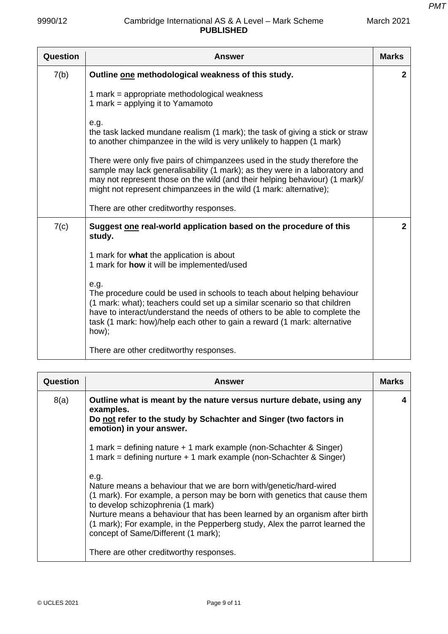| Question | <b>Answer</b>                                                                                                                                                                                                                                                                                                                   | <b>Marks</b>   |
|----------|---------------------------------------------------------------------------------------------------------------------------------------------------------------------------------------------------------------------------------------------------------------------------------------------------------------------------------|----------------|
| 7(b)     | Outline one methodological weakness of this study.                                                                                                                                                                                                                                                                              | $\mathbf{2}$   |
|          | 1 mark = appropriate methodological weakness<br>1 mark = applying it to Yamamoto                                                                                                                                                                                                                                                |                |
|          | e.g.<br>the task lacked mundane realism (1 mark); the task of giving a stick or straw<br>to another chimpanzee in the wild is very unlikely to happen (1 mark)                                                                                                                                                                  |                |
|          | There were only five pairs of chimpanzees used in the study therefore the<br>sample may lack generalisability (1 mark); as they were in a laboratory and<br>may not represent those on the wild (and their helping behaviour) (1 mark)/<br>might not represent chimpanzees in the wild (1 mark: alternative);                   |                |
|          | There are other creditworthy responses.                                                                                                                                                                                                                                                                                         |                |
| 7(c)     | Suggest one real-world application based on the procedure of this<br>study.                                                                                                                                                                                                                                                     | $\overline{2}$ |
|          | 1 mark for what the application is about<br>1 mark for how it will be implemented/used                                                                                                                                                                                                                                          |                |
|          | e.g.<br>The procedure could be used in schools to teach about helping behaviour<br>(1 mark: what); teachers could set up a similar scenario so that children<br>have to interact/understand the needs of others to be able to complete the<br>task (1 mark: how)/help each other to gain a reward (1 mark: alternative<br>how); |                |
|          | There are other creditworthy responses.                                                                                                                                                                                                                                                                                         |                |

| Question | <b>Answer</b>                                                                                                                                                                                                                                                                                                                                                                                   | <b>Marks</b> |
|----------|-------------------------------------------------------------------------------------------------------------------------------------------------------------------------------------------------------------------------------------------------------------------------------------------------------------------------------------------------------------------------------------------------|--------------|
| 8(a)     | Outline what is meant by the nature versus nurture debate, using any<br>examples.<br>Do not refer to the study by Schachter and Singer (two factors in<br>emotion) in your answer.                                                                                                                                                                                                              | 4            |
|          | 1 mark = defining nature + 1 mark example (non-Schachter & Singer)<br>1 mark = defining nurture + 1 mark example (non-Schachter & Singer)                                                                                                                                                                                                                                                       |              |
|          | e.a.<br>Nature means a behaviour that we are born with/genetic/hard-wired<br>(1 mark). For example, a person may be born with genetics that cause them<br>to develop schizophrenia (1 mark)<br>Nurture means a behaviour that has been learned by an organism after birth<br>(1 mark); For example, in the Pepperberg study, Alex the parrot learned the<br>concept of Same/Different (1 mark); |              |
|          | There are other creditworthy responses.                                                                                                                                                                                                                                                                                                                                                         |              |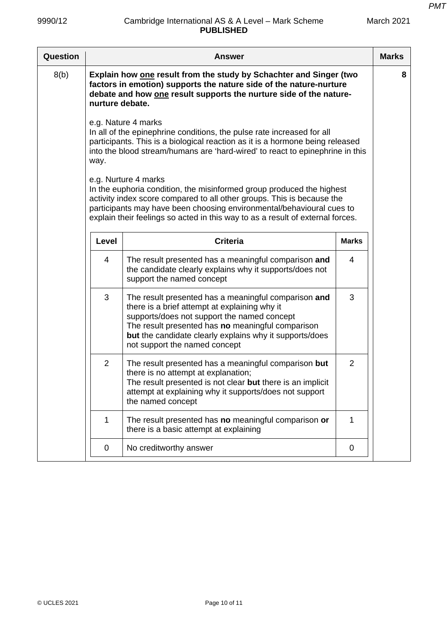| 8(b)<br>Explain how one result from the study by Schachter and Singer (two                                                                                                                                                                                                                                                         | 8 |
|------------------------------------------------------------------------------------------------------------------------------------------------------------------------------------------------------------------------------------------------------------------------------------------------------------------------------------|---|
| factors in emotion) supports the nature side of the nature-nurture<br>debate and how one result supports the nurture side of the nature-<br>nurture debate.                                                                                                                                                                        |   |
| e.g. Nature 4 marks<br>In all of the epinephrine conditions, the pulse rate increased for all<br>participants. This is a biological reaction as it is a hormone being released<br>into the blood stream/humans are 'hard-wired' to react to epinephrine in this<br>way.                                                            |   |
| e.g. Nurture 4 marks<br>In the euphoria condition, the misinformed group produced the highest<br>activity index score compared to all other groups. This is because the<br>participants may have been choosing environmental/behavioural cues to<br>explain their feelings so acted in this way to as a result of external forces. |   |
| <b>Criteria</b><br><b>Marks</b><br>Level                                                                                                                                                                                                                                                                                           |   |
| $\overline{4}$<br>The result presented has a meaningful comparison and<br>4<br>the candidate clearly explains why it supports/does not<br>support the named concept                                                                                                                                                                |   |
| 3<br>3<br>The result presented has a meaningful comparison and<br>there is a brief attempt at explaining why it<br>supports/does not support the named concept<br>The result presented has no meaningful comparison<br>but the candidate clearly explains why it supports/does<br>not support the named concept                    |   |
| $\overline{2}$<br>The result presented has a meaningful comparison but<br>$\overline{2}$<br>there is no attempt at explanation;<br>The result presented is not clear but there is an implicit<br>attempt at explaining why it supports/does not support<br>the named concept                                                       |   |
| 1<br>The result presented has no meaningful comparison or<br>1<br>there is a basic attempt at explaining                                                                                                                                                                                                                           |   |
| No creditworthy answer<br>0<br>0                                                                                                                                                                                                                                                                                                   |   |